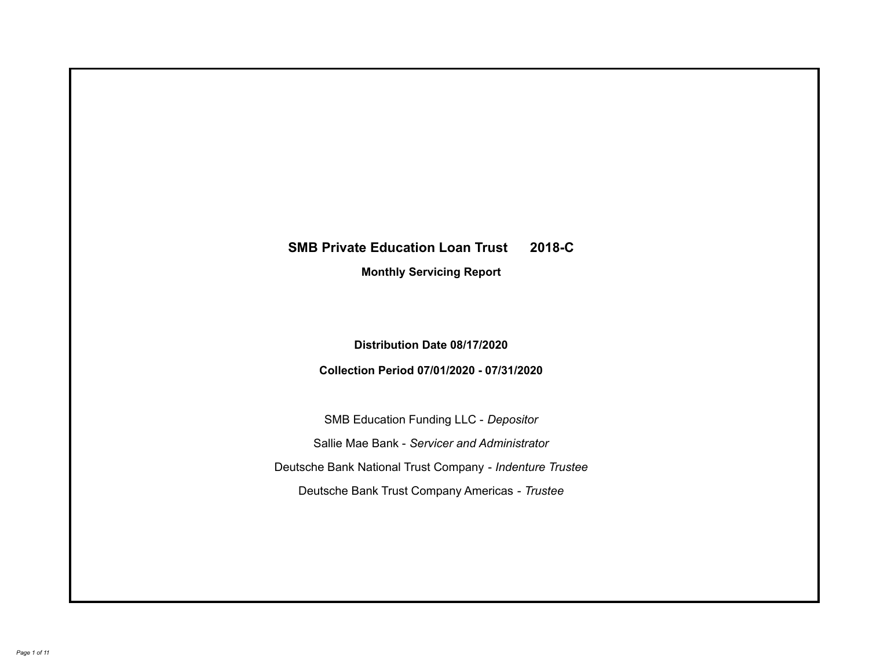# **SMB Private Education Loan Trust 2018-C Monthly Servicing Report**

**Distribution Date 08/17/2020**

**Collection Period 07/01/2020 - 07/31/2020**

SMB Education Funding LLC - *Depositor* Sallie Mae Bank - *Servicer and Administrator* Deutsche Bank National Trust Company - *Indenture Trustee* Deutsche Bank Trust Company Americas - *Trustee*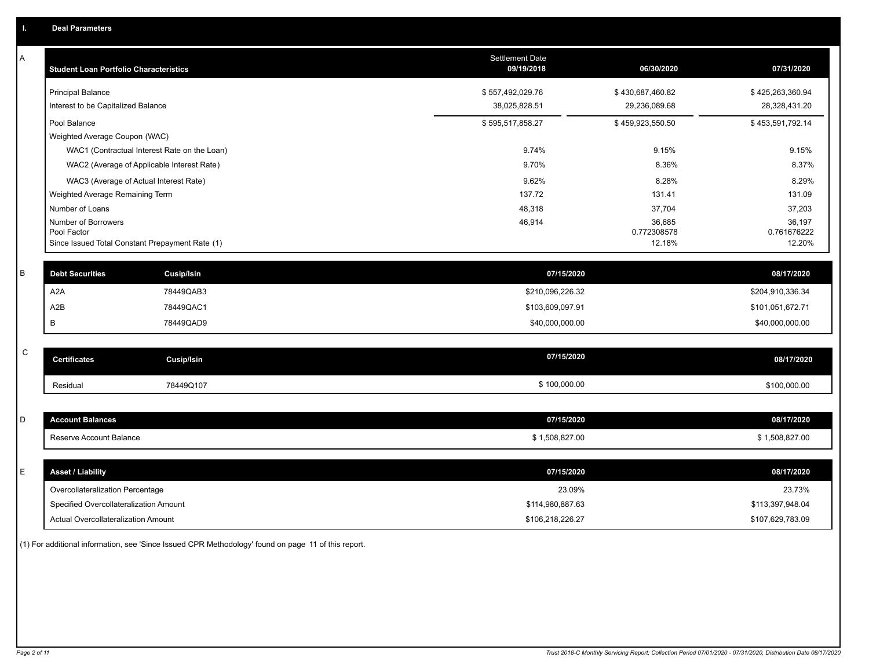| A           | <b>Student Loan Portfolio Characteristics</b> |                                                 | <b>Settlement Date</b><br>09/19/2018 | 06/30/2020            | 07/31/2020            |
|-------------|-----------------------------------------------|-------------------------------------------------|--------------------------------------|-----------------------|-----------------------|
|             | <b>Principal Balance</b>                      |                                                 | \$557,492,029.76                     | \$430,687,460.82      | \$425,263,360.94      |
|             | Interest to be Capitalized Balance            |                                                 | 38,025,828.51                        | 29,236,089.68         | 28,328,431.20         |
|             | Pool Balance                                  |                                                 | \$595,517,858.27                     | \$459,923,550.50      | \$453,591,792.14      |
|             | Weighted Average Coupon (WAC)                 |                                                 |                                      |                       |                       |
|             |                                               | WAC1 (Contractual Interest Rate on the Loan)    | 9.74%                                | 9.15%                 | 9.15%                 |
|             |                                               | WAC2 (Average of Applicable Interest Rate)      | 9.70%                                | 8.36%                 | 8.37%                 |
|             |                                               | WAC3 (Average of Actual Interest Rate)          | 9.62%                                | 8.28%                 | 8.29%                 |
|             | Weighted Average Remaining Term               |                                                 | 137.72                               | 131.41                | 131.09                |
|             | Number of Loans                               |                                                 | 48,318                               | 37,704                | 37,203                |
|             | Number of Borrowers                           |                                                 | 46,914                               | 36,685                | 36,197                |
|             | Pool Factor                                   | Since Issued Total Constant Prepayment Rate (1) |                                      | 0.772308578<br>12.18% | 0.761676222<br>12.20% |
|             |                                               |                                                 |                                      |                       |                       |
| $\sf B$     | <b>Debt Securities</b>                        | <b>Cusip/Isin</b>                               | 07/15/2020                           |                       | 08/17/2020            |
|             | A <sub>2</sub> A                              | 78449QAB3                                       | \$210,096,226.32                     |                       | \$204,910,336.34      |
|             | A2B                                           | 78449QAC1                                       | \$103,609,097.91                     |                       | \$101,051,672.71      |
|             | В                                             | 78449QAD9                                       | \$40,000,000.00                      |                       | \$40,000,000.00       |
|             |                                               |                                                 |                                      |                       |                       |
| $\mathsf C$ | <b>Certificates</b>                           | <b>Cusip/Isin</b>                               | 07/15/2020                           |                       | 08/17/2020            |
|             | Residual                                      | 78449Q107                                       | \$100,000.00                         |                       | \$100,000.00          |
|             |                                               |                                                 |                                      |                       |                       |
| D           | <b>Account Balances</b>                       |                                                 | 07/15/2020                           |                       | 08/17/2020            |
|             | Reserve Account Balance                       |                                                 | \$1,508,827.00                       |                       | \$1,508,827.00        |
|             |                                               |                                                 |                                      |                       |                       |
| E           | <b>Asset / Liability</b>                      |                                                 | 07/15/2020                           |                       | 08/17/2020            |
|             | Overcollateralization Percentage              |                                                 | 23.09%                               |                       | 23.73%                |
|             | Specified Overcollateralization Amount        |                                                 | \$114,980,887.63                     |                       | \$113,397,948.04      |
|             | Actual Overcollateralization Amount           |                                                 | \$106,218,226.27                     |                       | \$107,629,783.09      |

(1) For additional information, see 'Since Issued CPR Methodology' found on page 11 of this report.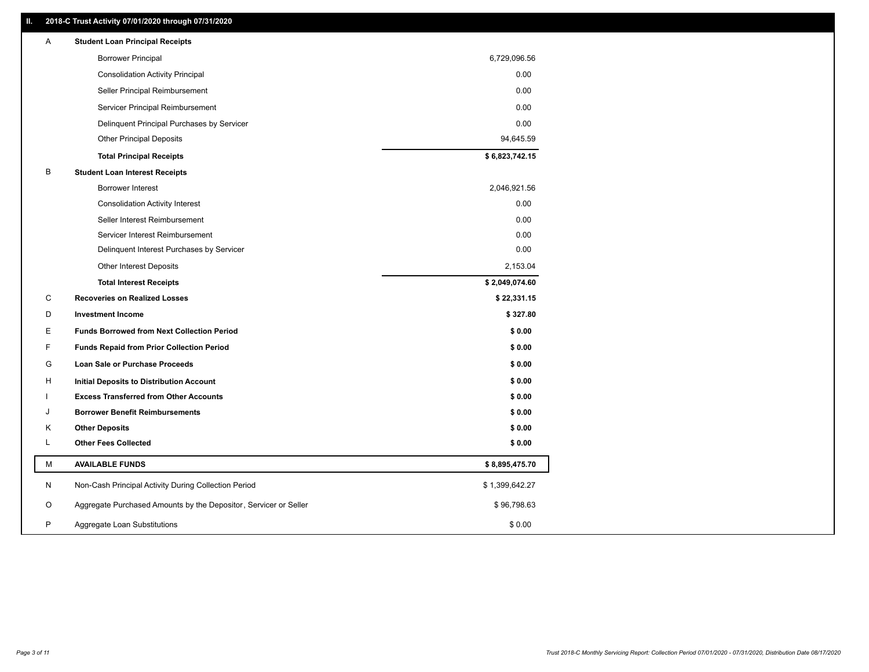### **II. 2018-C Trust Activity 07/01/2020 through 07/31/2020**

| <b>Borrower Principal</b><br>6,729,096.56<br>0.00<br><b>Consolidation Activity Principal</b><br>0.00<br>Seller Principal Reimbursement<br>0.00<br>Servicer Principal Reimbursement<br>0.00<br>Delinquent Principal Purchases by Servicer<br><b>Other Principal Deposits</b><br>94,645.59<br>\$6,823,742.15<br><b>Total Principal Receipts</b><br>В<br><b>Student Loan Interest Receipts</b><br>Borrower Interest<br>2,046,921.56<br><b>Consolidation Activity Interest</b><br>0.00<br>0.00<br>Seller Interest Reimbursement<br>Servicer Interest Reimbursement<br>0.00<br>0.00<br>Delinquent Interest Purchases by Servicer<br>2,153.04<br><b>Other Interest Deposits</b><br>\$2,049,074.60<br><b>Total Interest Receipts</b><br>С<br><b>Recoveries on Realized Losses</b><br>\$22,331.15<br>D<br><b>Investment Income</b><br>\$327.80<br>Е<br><b>Funds Borrowed from Next Collection Period</b><br>\$0.00<br>F<br><b>Funds Repaid from Prior Collection Period</b><br>\$0.00<br>G<br>\$0.00<br>Loan Sale or Purchase Proceeds<br>\$0.00<br>н<br>Initial Deposits to Distribution Account<br><b>Excess Transferred from Other Accounts</b><br>\$0.00<br><b>Borrower Benefit Reimbursements</b><br>\$0.00<br>J<br>Κ<br><b>Other Deposits</b><br>\$0.00<br>L<br><b>Other Fees Collected</b><br>\$0.00<br>М<br><b>AVAILABLE FUNDS</b><br>\$8,895,475.70<br>N<br>Non-Cash Principal Activity During Collection Period<br>\$1,399,642.27<br>Aggregate Purchased Amounts by the Depositor, Servicer or Seller<br>O<br>\$96,798.63<br>P<br>\$0.00<br>Aggregate Loan Substitutions | Α | <b>Student Loan Principal Receipts</b> |  |
|----------------------------------------------------------------------------------------------------------------------------------------------------------------------------------------------------------------------------------------------------------------------------------------------------------------------------------------------------------------------------------------------------------------------------------------------------------------------------------------------------------------------------------------------------------------------------------------------------------------------------------------------------------------------------------------------------------------------------------------------------------------------------------------------------------------------------------------------------------------------------------------------------------------------------------------------------------------------------------------------------------------------------------------------------------------------------------------------------------------------------------------------------------------------------------------------------------------------------------------------------------------------------------------------------------------------------------------------------------------------------------------------------------------------------------------------------------------------------------------------------------------------------------------------------------------------------|---|----------------------------------------|--|
|                                                                                                                                                                                                                                                                                                                                                                                                                                                                                                                                                                                                                                                                                                                                                                                                                                                                                                                                                                                                                                                                                                                                                                                                                                                                                                                                                                                                                                                                                                                                                                            |   |                                        |  |
|                                                                                                                                                                                                                                                                                                                                                                                                                                                                                                                                                                                                                                                                                                                                                                                                                                                                                                                                                                                                                                                                                                                                                                                                                                                                                                                                                                                                                                                                                                                                                                            |   |                                        |  |
|                                                                                                                                                                                                                                                                                                                                                                                                                                                                                                                                                                                                                                                                                                                                                                                                                                                                                                                                                                                                                                                                                                                                                                                                                                                                                                                                                                                                                                                                                                                                                                            |   |                                        |  |
|                                                                                                                                                                                                                                                                                                                                                                                                                                                                                                                                                                                                                                                                                                                                                                                                                                                                                                                                                                                                                                                                                                                                                                                                                                                                                                                                                                                                                                                                                                                                                                            |   |                                        |  |
|                                                                                                                                                                                                                                                                                                                                                                                                                                                                                                                                                                                                                                                                                                                                                                                                                                                                                                                                                                                                                                                                                                                                                                                                                                                                                                                                                                                                                                                                                                                                                                            |   |                                        |  |
|                                                                                                                                                                                                                                                                                                                                                                                                                                                                                                                                                                                                                                                                                                                                                                                                                                                                                                                                                                                                                                                                                                                                                                                                                                                                                                                                                                                                                                                                                                                                                                            |   |                                        |  |
|                                                                                                                                                                                                                                                                                                                                                                                                                                                                                                                                                                                                                                                                                                                                                                                                                                                                                                                                                                                                                                                                                                                                                                                                                                                                                                                                                                                                                                                                                                                                                                            |   |                                        |  |
|                                                                                                                                                                                                                                                                                                                                                                                                                                                                                                                                                                                                                                                                                                                                                                                                                                                                                                                                                                                                                                                                                                                                                                                                                                                                                                                                                                                                                                                                                                                                                                            |   |                                        |  |
|                                                                                                                                                                                                                                                                                                                                                                                                                                                                                                                                                                                                                                                                                                                                                                                                                                                                                                                                                                                                                                                                                                                                                                                                                                                                                                                                                                                                                                                                                                                                                                            |   |                                        |  |
|                                                                                                                                                                                                                                                                                                                                                                                                                                                                                                                                                                                                                                                                                                                                                                                                                                                                                                                                                                                                                                                                                                                                                                                                                                                                                                                                                                                                                                                                                                                                                                            |   |                                        |  |
|                                                                                                                                                                                                                                                                                                                                                                                                                                                                                                                                                                                                                                                                                                                                                                                                                                                                                                                                                                                                                                                                                                                                                                                                                                                                                                                                                                                                                                                                                                                                                                            |   |                                        |  |
|                                                                                                                                                                                                                                                                                                                                                                                                                                                                                                                                                                                                                                                                                                                                                                                                                                                                                                                                                                                                                                                                                                                                                                                                                                                                                                                                                                                                                                                                                                                                                                            |   |                                        |  |
|                                                                                                                                                                                                                                                                                                                                                                                                                                                                                                                                                                                                                                                                                                                                                                                                                                                                                                                                                                                                                                                                                                                                                                                                                                                                                                                                                                                                                                                                                                                                                                            |   |                                        |  |
|                                                                                                                                                                                                                                                                                                                                                                                                                                                                                                                                                                                                                                                                                                                                                                                                                                                                                                                                                                                                                                                                                                                                                                                                                                                                                                                                                                                                                                                                                                                                                                            |   |                                        |  |
|                                                                                                                                                                                                                                                                                                                                                                                                                                                                                                                                                                                                                                                                                                                                                                                                                                                                                                                                                                                                                                                                                                                                                                                                                                                                                                                                                                                                                                                                                                                                                                            |   |                                        |  |
|                                                                                                                                                                                                                                                                                                                                                                                                                                                                                                                                                                                                                                                                                                                                                                                                                                                                                                                                                                                                                                                                                                                                                                                                                                                                                                                                                                                                                                                                                                                                                                            |   |                                        |  |
|                                                                                                                                                                                                                                                                                                                                                                                                                                                                                                                                                                                                                                                                                                                                                                                                                                                                                                                                                                                                                                                                                                                                                                                                                                                                                                                                                                                                                                                                                                                                                                            |   |                                        |  |
|                                                                                                                                                                                                                                                                                                                                                                                                                                                                                                                                                                                                                                                                                                                                                                                                                                                                                                                                                                                                                                                                                                                                                                                                                                                                                                                                                                                                                                                                                                                                                                            |   |                                        |  |
|                                                                                                                                                                                                                                                                                                                                                                                                                                                                                                                                                                                                                                                                                                                                                                                                                                                                                                                                                                                                                                                                                                                                                                                                                                                                                                                                                                                                                                                                                                                                                                            |   |                                        |  |
|                                                                                                                                                                                                                                                                                                                                                                                                                                                                                                                                                                                                                                                                                                                                                                                                                                                                                                                                                                                                                                                                                                                                                                                                                                                                                                                                                                                                                                                                                                                                                                            |   |                                        |  |
|                                                                                                                                                                                                                                                                                                                                                                                                                                                                                                                                                                                                                                                                                                                                                                                                                                                                                                                                                                                                                                                                                                                                                                                                                                                                                                                                                                                                                                                                                                                                                                            |   |                                        |  |
|                                                                                                                                                                                                                                                                                                                                                                                                                                                                                                                                                                                                                                                                                                                                                                                                                                                                                                                                                                                                                                                                                                                                                                                                                                                                                                                                                                                                                                                                                                                                                                            |   |                                        |  |
|                                                                                                                                                                                                                                                                                                                                                                                                                                                                                                                                                                                                                                                                                                                                                                                                                                                                                                                                                                                                                                                                                                                                                                                                                                                                                                                                                                                                                                                                                                                                                                            |   |                                        |  |
|                                                                                                                                                                                                                                                                                                                                                                                                                                                                                                                                                                                                                                                                                                                                                                                                                                                                                                                                                                                                                                                                                                                                                                                                                                                                                                                                                                                                                                                                                                                                                                            |   |                                        |  |
|                                                                                                                                                                                                                                                                                                                                                                                                                                                                                                                                                                                                                                                                                                                                                                                                                                                                                                                                                                                                                                                                                                                                                                                                                                                                                                                                                                                                                                                                                                                                                                            |   |                                        |  |
|                                                                                                                                                                                                                                                                                                                                                                                                                                                                                                                                                                                                                                                                                                                                                                                                                                                                                                                                                                                                                                                                                                                                                                                                                                                                                                                                                                                                                                                                                                                                                                            |   |                                        |  |
|                                                                                                                                                                                                                                                                                                                                                                                                                                                                                                                                                                                                                                                                                                                                                                                                                                                                                                                                                                                                                                                                                                                                                                                                                                                                                                                                                                                                                                                                                                                                                                            |   |                                        |  |
|                                                                                                                                                                                                                                                                                                                                                                                                                                                                                                                                                                                                                                                                                                                                                                                                                                                                                                                                                                                                                                                                                                                                                                                                                                                                                                                                                                                                                                                                                                                                                                            |   |                                        |  |
|                                                                                                                                                                                                                                                                                                                                                                                                                                                                                                                                                                                                                                                                                                                                                                                                                                                                                                                                                                                                                                                                                                                                                                                                                                                                                                                                                                                                                                                                                                                                                                            |   |                                        |  |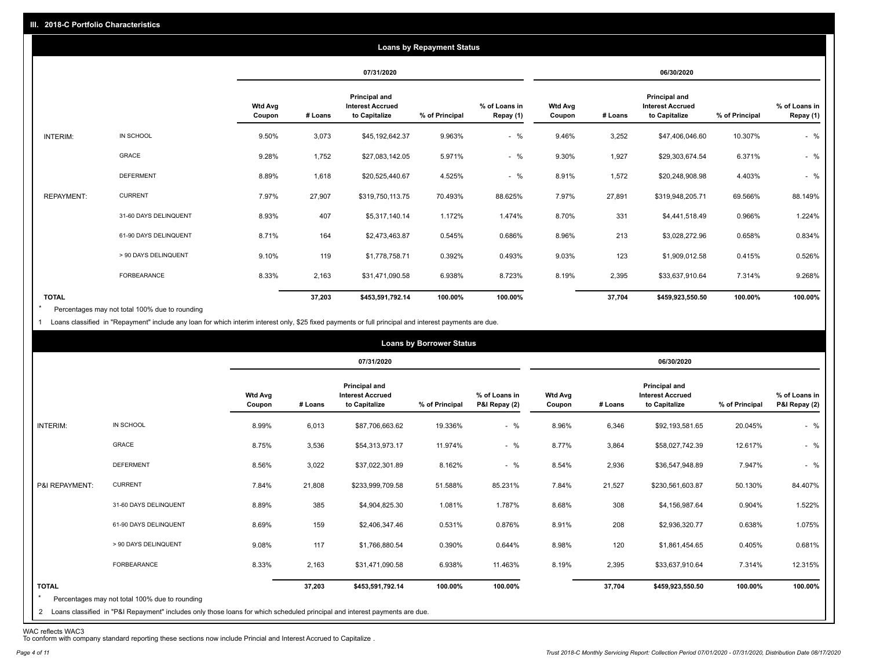|                   | <b>Loans by Repayment Status</b> |                          |         |                                                                  |                |                            |                          |         |                                                           |                |                            |
|-------------------|----------------------------------|--------------------------|---------|------------------------------------------------------------------|----------------|----------------------------|--------------------------|---------|-----------------------------------------------------------|----------------|----------------------------|
|                   |                                  |                          |         | 07/31/2020                                                       |                |                            | 06/30/2020               |         |                                                           |                |                            |
|                   |                                  | <b>Wtd Avg</b><br>Coupon | # Loans | <b>Principal and</b><br><b>Interest Accrued</b><br>to Capitalize | % of Principal | % of Loans in<br>Repay (1) | <b>Wtd Avg</b><br>Coupon | # Loans | Principal and<br><b>Interest Accrued</b><br>to Capitalize | % of Principal | % of Loans in<br>Repay (1) |
| INTERIM:          | IN SCHOOL                        | 9.50%                    | 3,073   | \$45,192,642.37                                                  | 9.963%         | $-$ %                      | 9.46%                    | 3,252   | \$47,406,046.60                                           | 10.307%        | $-$ %                      |
|                   | GRACE                            | 9.28%                    | 1,752   | \$27,083,142.05                                                  | 5.971%         | $-$ %                      | 9.30%                    | 1,927   | \$29,303,674.54                                           | 6.371%         | $-$ %                      |
|                   | <b>DEFERMENT</b>                 | 8.89%                    | 1,618   | \$20,525,440.67                                                  | 4.525%         | $-$ %                      | 8.91%                    | 1,572   | \$20,248,908.98                                           | 4.403%         | $-$ %                      |
| <b>REPAYMENT:</b> | <b>CURRENT</b>                   | 7.97%                    | 27,907  | \$319,750,113.75                                                 | 70.493%        | 88.625%                    | 7.97%                    | 27,891  | \$319,948,205.71                                          | 69.566%        | 88.149%                    |
|                   | 31-60 DAYS DELINQUENT            | 8.93%                    | 407     | \$5,317,140.14                                                   | 1.172%         | 1.474%                     | 8.70%                    | 331     | \$4,441,518.49                                            | 0.966%         | 1.224%                     |
|                   | 61-90 DAYS DELINQUENT            | 8.71%                    | 164     | \$2,473,463.87                                                   | 0.545%         | 0.686%                     | 8.96%                    | 213     | \$3,028,272.96                                            | 0.658%         | 0.834%                     |
|                   | > 90 DAYS DELINQUENT             | 9.10%                    | 119     | \$1,778,758.71                                                   | 0.392%         | 0.493%                     | 9.03%                    | 123     | \$1,909,012.58                                            | 0.415%         | 0.526%                     |
|                   | FORBEARANCE                      | 8.33%                    | 2,163   | \$31,471,090.58                                                  | 6.938%         | 8.723%                     | 8.19%                    | 2,395   | \$33,637,910.64                                           | 7.314%         | 9.268%                     |
| <b>TOTAL</b>      |                                  |                          | 37,203  | \$453,591,792.14                                                 | 100.00%        | 100.00%                    |                          | 37,704  | \$459,923,550.50                                          | 100.00%        | 100.00%                    |

Percentages may not total 100% due to rounding  $\star$ 

1 Loans classified in "Repayment" include any loan for which interim interest only, \$25 fixed payments or full principal and interest payments are due.

| <b>Loans by Borrower Status</b> |                                                                                                                                                                                |                          |         |                                                           |                |                                |                          |         |                                                           |                |                                |
|---------------------------------|--------------------------------------------------------------------------------------------------------------------------------------------------------------------------------|--------------------------|---------|-----------------------------------------------------------|----------------|--------------------------------|--------------------------|---------|-----------------------------------------------------------|----------------|--------------------------------|
|                                 |                                                                                                                                                                                |                          |         | 07/31/2020                                                |                |                                | 06/30/2020               |         |                                                           |                |                                |
|                                 |                                                                                                                                                                                | <b>Wtd Avg</b><br>Coupon | # Loans | Principal and<br><b>Interest Accrued</b><br>to Capitalize | % of Principal | % of Loans in<br>P&I Repay (2) | <b>Wtd Avg</b><br>Coupon | # Loans | Principal and<br><b>Interest Accrued</b><br>to Capitalize | % of Principal | % of Loans in<br>P&I Repay (2) |
| INTERIM:                        | IN SCHOOL                                                                                                                                                                      | 8.99%                    | 6,013   | \$87,706,663.62                                           | 19.336%        | $-$ %                          | 8.96%                    | 6,346   | \$92,193,581.65                                           | 20.045%        | $-$ %                          |
|                                 | GRACE                                                                                                                                                                          | 8.75%                    | 3,536   | \$54,313,973.17                                           | 11.974%        | $-$ %                          | 8.77%                    | 3,864   | \$58,027,742.39                                           | 12.617%        | $-$ %                          |
|                                 | <b>DEFERMENT</b>                                                                                                                                                               | 8.56%                    | 3,022   | \$37,022,301.89                                           | 8.162%         | $-$ %                          | 8.54%                    | 2,936   | \$36,547,948.89                                           | 7.947%         | $-$ %                          |
| P&I REPAYMENT:                  | <b>CURRENT</b>                                                                                                                                                                 | 7.84%                    | 21,808  | \$233,999,709.58                                          | 51.588%        | 85.231%                        | 7.84%                    | 21,527  | \$230,561,603.87                                          | 50.130%        | 84.407%                        |
|                                 | 31-60 DAYS DELINQUENT                                                                                                                                                          | 8.89%                    | 385     | \$4,904,825.30                                            | 1.081%         | 1.787%                         | 8.68%                    | 308     | \$4,156,987.64                                            | 0.904%         | 1.522%                         |
|                                 | 61-90 DAYS DELINQUENT                                                                                                                                                          | 8.69%                    | 159     | \$2,406,347.46                                            | 0.531%         | 0.876%                         | 8.91%                    | 208     | \$2,936,320.77                                            | 0.638%         | 1.075%                         |
|                                 | > 90 DAYS DELINQUENT                                                                                                                                                           | 9.08%                    | 117     | \$1,766,880.54                                            | 0.390%         | 0.644%                         | 8.98%                    | 120     | \$1,861,454.65                                            | 0.405%         | 0.681%                         |
|                                 | FORBEARANCE                                                                                                                                                                    | 8.33%                    | 2,163   | \$31,471,090.58                                           | 6.938%         | 11.463%                        | 8.19%                    | 2,395   | \$33,637,910.64                                           | 7.314%         | 12.315%                        |
| <b>TOTAL</b><br>$\star$         | Percentages may not total 100% due to rounding<br>2 Loans classified in "P&I Repayment" includes only those loans for which scheduled principal and interest payments are due. |                          | 37,203  | \$453,591,792.14                                          | 100.00%        | 100.00%                        |                          | 37,704  | \$459,923,550.50                                          | 100.00%        | 100.00%                        |

WAC reflects WAC3 To conform with company standard reporting these sections now include Princial and Interest Accrued to Capitalize .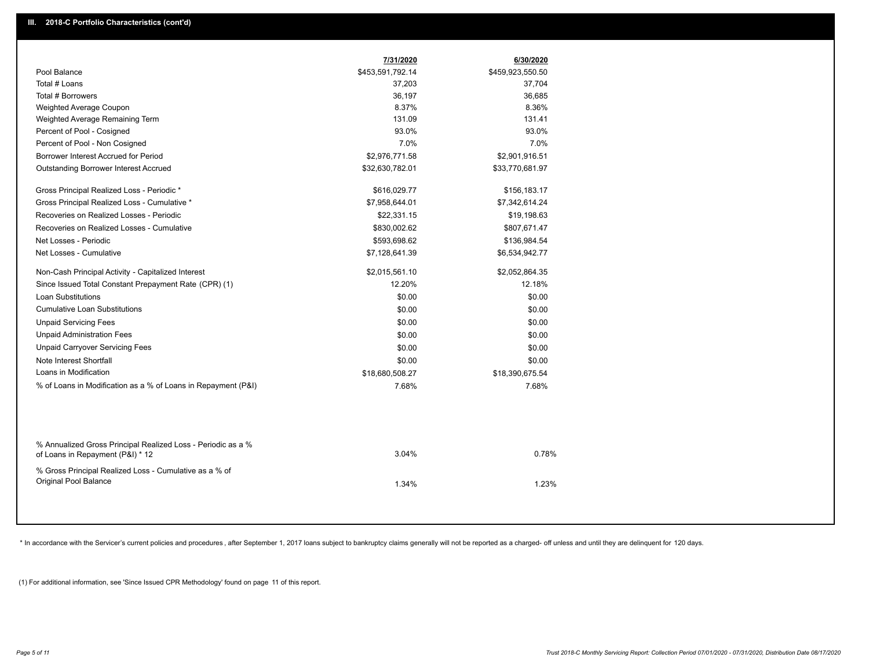|                                                                                                  | 7/31/2020        | 6/30/2020        |  |
|--------------------------------------------------------------------------------------------------|------------------|------------------|--|
| Pool Balance                                                                                     | \$453,591,792.14 | \$459,923,550.50 |  |
| Total # Loans                                                                                    | 37,203           | 37,704           |  |
| Total # Borrowers                                                                                | 36,197           | 36,685           |  |
| Weighted Average Coupon                                                                          | 8.37%            | 8.36%            |  |
| Weighted Average Remaining Term                                                                  | 131.09           | 131.41           |  |
| Percent of Pool - Cosigned                                                                       | 93.0%            | 93.0%            |  |
| Percent of Pool - Non Cosigned                                                                   | 7.0%             | 7.0%             |  |
| Borrower Interest Accrued for Period                                                             | \$2,976,771.58   | \$2,901,916.51   |  |
| Outstanding Borrower Interest Accrued                                                            | \$32,630,782.01  | \$33,770,681.97  |  |
| Gross Principal Realized Loss - Periodic *                                                       | \$616,029.77     | \$156,183.17     |  |
| Gross Principal Realized Loss - Cumulative *                                                     | \$7,958,644.01   | \$7,342,614.24   |  |
| Recoveries on Realized Losses - Periodic                                                         | \$22,331.15      | \$19,198.63      |  |
| Recoveries on Realized Losses - Cumulative                                                       | \$830,002.62     | \$807,671.47     |  |
| Net Losses - Periodic                                                                            | \$593,698.62     | \$136,984.54     |  |
| Net Losses - Cumulative                                                                          | \$7,128,641.39   | \$6,534,942.77   |  |
| Non-Cash Principal Activity - Capitalized Interest                                               | \$2,015,561.10   | \$2,052,864.35   |  |
| Since Issued Total Constant Prepayment Rate (CPR) (1)                                            | 12.20%           | 12.18%           |  |
| <b>Loan Substitutions</b>                                                                        | \$0.00           | \$0.00           |  |
| <b>Cumulative Loan Substitutions</b>                                                             | \$0.00           | \$0.00           |  |
| <b>Unpaid Servicing Fees</b>                                                                     | \$0.00           | \$0.00           |  |
| <b>Unpaid Administration Fees</b>                                                                | \$0.00           | \$0.00           |  |
| <b>Unpaid Carryover Servicing Fees</b>                                                           | \$0.00           | \$0.00           |  |
| Note Interest Shortfall                                                                          | \$0.00           | \$0.00           |  |
| Loans in Modification                                                                            | \$18,680,508.27  | \$18,390,675.54  |  |
| % of Loans in Modification as a % of Loans in Repayment (P&I)                                    | 7.68%            | 7.68%            |  |
|                                                                                                  |                  |                  |  |
| % Annualized Gross Principal Realized Loss - Periodic as a %<br>of Loans in Repayment (P&I) * 12 | 3.04%            | 0.78%            |  |
| % Gross Principal Realized Loss - Cumulative as a % of                                           |                  |                  |  |
| Original Pool Balance                                                                            | 1.34%            | 1.23%            |  |

\* In accordance with the Servicer's current policies and procedures, after September 1, 2017 loans subject to bankruptcy claims generally will not be reported as a charged- off unless and until they are delinquent for 120

(1) For additional information, see 'Since Issued CPR Methodology' found on page 11 of this report.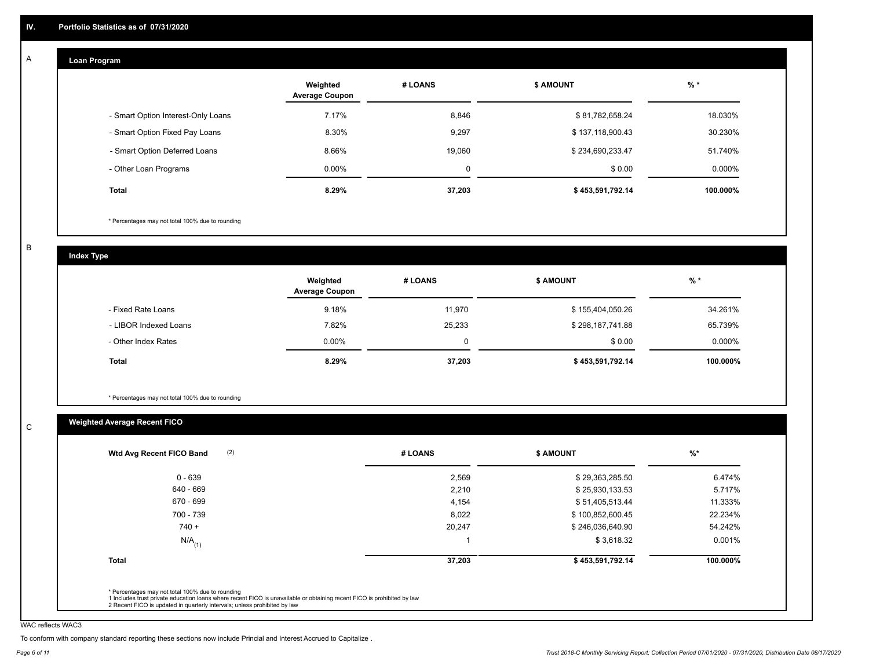#### **Loan Program**  A

|                                    | Weighted<br><b>Average Coupon</b> | # LOANS | <b>\$ AMOUNT</b> | $%$ *    |
|------------------------------------|-----------------------------------|---------|------------------|----------|
| - Smart Option Interest-Only Loans | 7.17%                             | 8,846   | \$81,782,658.24  | 18.030%  |
| - Smart Option Fixed Pay Loans     | 8.30%                             | 9,297   | \$137,118,900.43 | 30.230%  |
| - Smart Option Deferred Loans      | 8.66%                             | 19.060  | \$234,690,233.47 | 51.740%  |
| - Other Loan Programs              | $0.00\%$                          | 0       | \$0.00           | 0.000%   |
| <b>Total</b>                       | 8.29%                             | 37,203  | \$453,591,792.14 | 100.000% |

\* Percentages may not total 100% due to rounding

B

C

**Index Type**

|                       | Weighted<br><b>Average Coupon</b> | # LOANS | <b>\$ AMOUNT</b> | $%$ *     |
|-----------------------|-----------------------------------|---------|------------------|-----------|
| - Fixed Rate Loans    | 9.18%                             | 11.970  | \$155,404,050.26 | 34.261%   |
| - LIBOR Indexed Loans | 7.82%                             | 25,233  | \$298,187,741.88 | 65.739%   |
| - Other Index Rates   | $0.00\%$                          |         | \$0.00           | $0.000\%$ |
| <b>Total</b>          | 8.29%                             | 37,203  | \$453,591,792.14 | 100.000%  |

\* Percentages may not total 100% due to rounding

## **Weighted Average Recent FICO**

| 2,569  | \$29,363,285.50  | 6.474%   |
|--------|------------------|----------|
|        |                  |          |
| 2,210  | \$25,930,133.53  | 5.717%   |
| 4,154  | \$51,405,513.44  | 11.333%  |
| 8,022  | \$100,852,600.45 | 22.234%  |
| 20,247 | \$246,036,640.90 | 54.242%  |
|        | \$3,618.32       | 0.001%   |
| 37,203 | \$453,591,792.14 | 100.000% |
|        |                  |          |

WAC reflects WAC3

To conform with company standard reporting these sections now include Princial and Interest Accrued to Capitalize .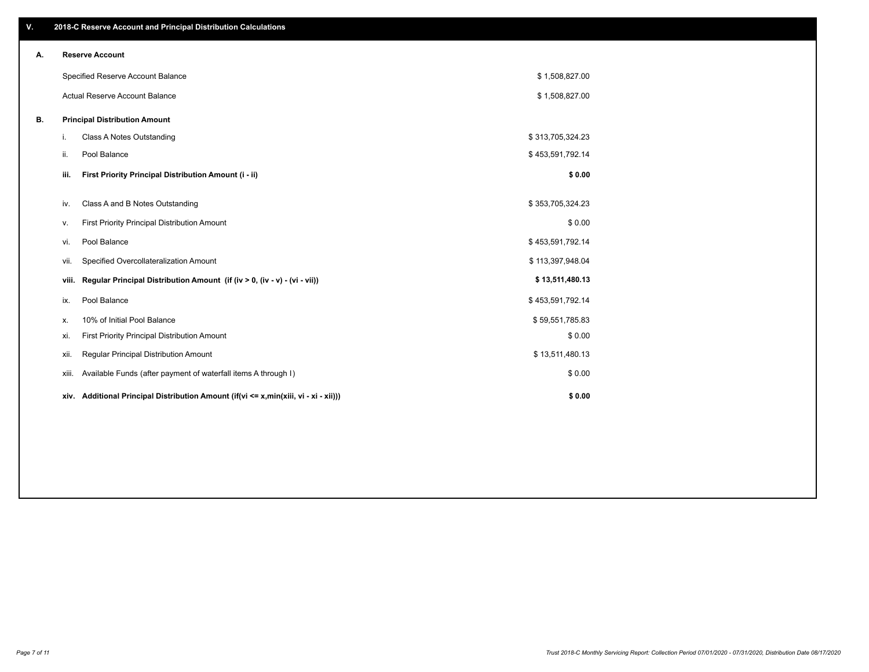| V. |                        | 2018-C Reserve Account and Principal Distribution Calculations                  |                  |  |  |  |  |  |
|----|------------------------|---------------------------------------------------------------------------------|------------------|--|--|--|--|--|
| Α. | <b>Reserve Account</b> |                                                                                 |                  |  |  |  |  |  |
|    |                        | Specified Reserve Account Balance                                               | \$1,508,827.00   |  |  |  |  |  |
|    |                        | <b>Actual Reserve Account Balance</b>                                           | \$1,508,827.00   |  |  |  |  |  |
| В. |                        | <b>Principal Distribution Amount</b>                                            |                  |  |  |  |  |  |
|    | i.                     | Class A Notes Outstanding                                                       | \$313,705,324.23 |  |  |  |  |  |
|    | ii.                    | Pool Balance                                                                    | \$453,591,792.14 |  |  |  |  |  |
|    | iii.                   | First Priority Principal Distribution Amount (i - ii)                           | \$0.00           |  |  |  |  |  |
|    | iv.                    | Class A and B Notes Outstanding                                                 | \$353,705,324.23 |  |  |  |  |  |
|    | ν.                     | First Priority Principal Distribution Amount                                    | \$0.00           |  |  |  |  |  |
|    | vi.                    | Pool Balance                                                                    | \$453,591,792.14 |  |  |  |  |  |
|    | VII.                   | Specified Overcollateralization Amount                                          | \$113,397,948.04 |  |  |  |  |  |
|    | viii.                  | Regular Principal Distribution Amount (if (iv > 0, (iv - v) - (vi - vii))       | \$13,511,480.13  |  |  |  |  |  |
|    | ix.                    | Pool Balance                                                                    | \$453,591,792.14 |  |  |  |  |  |
|    | х.                     | 10% of Initial Pool Balance                                                     | \$59,551,785.83  |  |  |  |  |  |
|    | xi.                    | First Priority Principal Distribution Amount                                    | \$0.00           |  |  |  |  |  |
|    | xii.                   | Regular Principal Distribution Amount                                           | \$13,511,480.13  |  |  |  |  |  |
|    | xiii.                  | Available Funds (after payment of waterfall items A through I)                  | \$0.00           |  |  |  |  |  |
|    | xiv.                   | Additional Principal Distribution Amount (if(vi <= x,min(xiii, vi - xi - xii))) | \$0.00           |  |  |  |  |  |
|    |                        |                                                                                 |                  |  |  |  |  |  |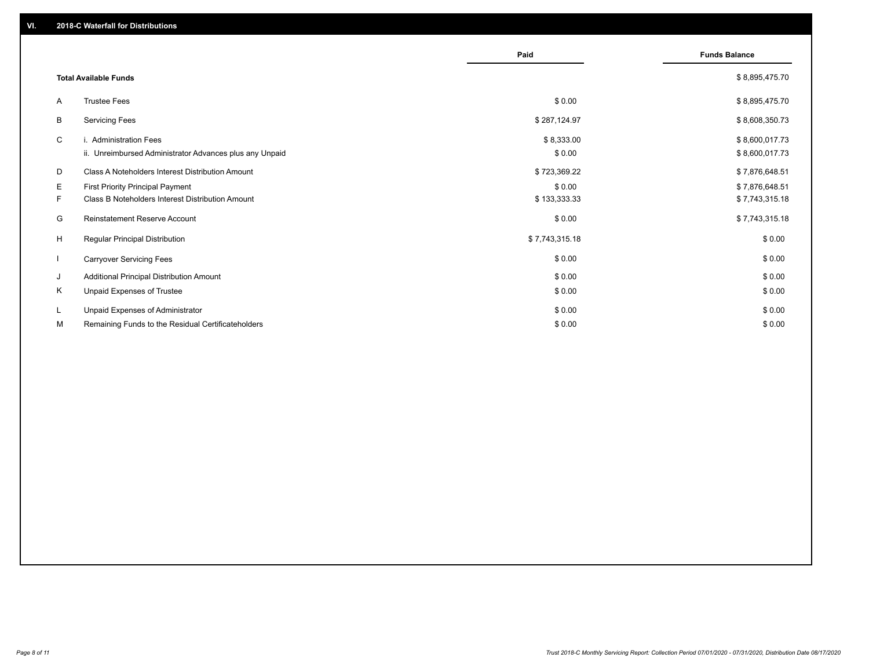|              |                                                                                   | Paid                 | <b>Funds Balance</b>             |
|--------------|-----------------------------------------------------------------------------------|----------------------|----------------------------------|
|              | <b>Total Available Funds</b>                                                      |                      | \$8,895,475.70                   |
| A            | <b>Trustee Fees</b>                                                               | \$0.00               | \$8,895,475.70                   |
| В            | <b>Servicing Fees</b>                                                             | \$287,124.97         | \$8,608,350.73                   |
| C            | i. Administration Fees<br>ii. Unreimbursed Administrator Advances plus any Unpaid | \$8,333.00<br>\$0.00 | \$8,600,017.73<br>\$8,600,017.73 |
| D            | Class A Noteholders Interest Distribution Amount                                  | \$723,369.22         | \$7,876,648.51                   |
| E.           | <b>First Priority Principal Payment</b>                                           | \$0.00               | \$7,876,648.51                   |
| F.           | Class B Noteholders Interest Distribution Amount                                  | \$133,333.33         | \$7,743,315.18                   |
| G            | <b>Reinstatement Reserve Account</b>                                              | \$0.00               | \$7,743,315.18                   |
| H            | <b>Regular Principal Distribution</b>                                             | \$7,743,315.18       | \$0.00                           |
| $\mathbf{I}$ | <b>Carryover Servicing Fees</b>                                                   | \$0.00               | \$0.00                           |
| J            | Additional Principal Distribution Amount                                          | \$0.00               | \$0.00                           |
| Κ            | Unpaid Expenses of Trustee                                                        | \$0.00               | \$0.00                           |
| L            | Unpaid Expenses of Administrator                                                  | \$0.00               | \$0.00                           |
| М            | Remaining Funds to the Residual Certificateholders                                | \$0.00               | \$0.00                           |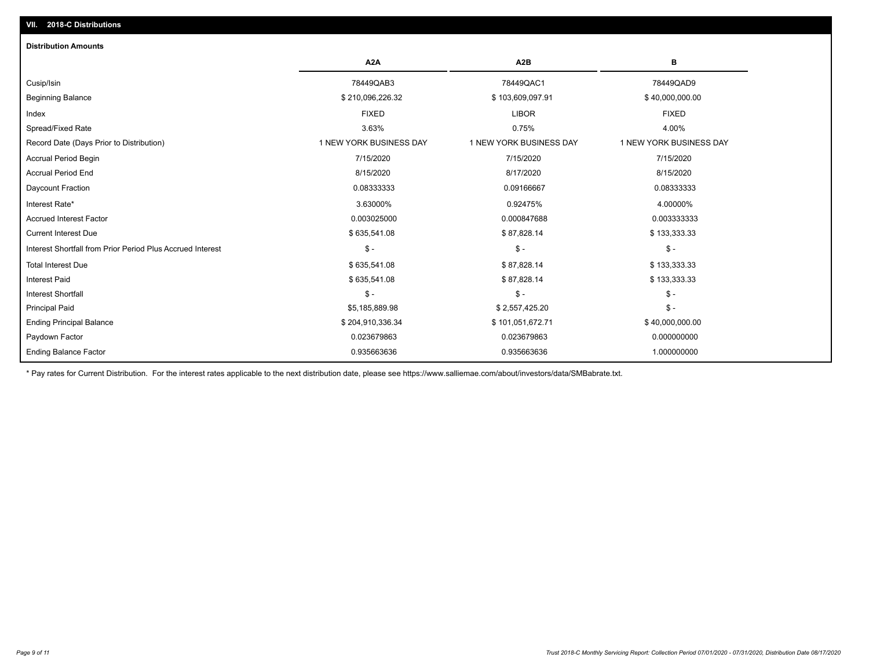| <b>Distribution Amounts</b>                                |                         |                         |                         |
|------------------------------------------------------------|-------------------------|-------------------------|-------------------------|
|                                                            | A <sub>2</sub> A        | A <sub>2</sub> B        | в                       |
| Cusip/Isin                                                 | 78449QAB3               | 78449QAC1               | 78449QAD9               |
| <b>Beginning Balance</b>                                   | \$210,096,226.32        | \$103,609,097.91        | \$40,000,000.00         |
| Index                                                      | <b>FIXED</b>            | <b>LIBOR</b>            | <b>FIXED</b>            |
| Spread/Fixed Rate                                          | 3.63%                   | 0.75%                   | 4.00%                   |
| Record Date (Days Prior to Distribution)                   | 1 NEW YORK BUSINESS DAY | 1 NEW YORK BUSINESS DAY | 1 NEW YORK BUSINESS DAY |
| Accrual Period Begin                                       | 7/15/2020               | 7/15/2020               | 7/15/2020               |
| <b>Accrual Period End</b>                                  | 8/15/2020               | 8/17/2020               | 8/15/2020               |
| Daycount Fraction                                          | 0.08333333              | 0.09166667              | 0.08333333              |
| Interest Rate*                                             | 3.63000%                | 0.92475%                | 4.00000%                |
| <b>Accrued Interest Factor</b>                             | 0.003025000             | 0.000847688             | 0.003333333             |
| <b>Current Interest Due</b>                                | \$635,541.08            | \$87,828.14             | \$133,333.33            |
| Interest Shortfall from Prior Period Plus Accrued Interest | $\frac{1}{2}$           | $\mathcal{S}$ -         | $\frac{1}{2}$           |
| <b>Total Interest Due</b>                                  | \$635,541.08            | \$87,828.14             | \$133,333.33            |
| <b>Interest Paid</b>                                       | \$635,541.08            | \$87,828.14             | \$133,333.33            |
| Interest Shortfall                                         | $\mathsf{\$}$ -         | $\mathsf{\$}$ -         | $$ -$                   |
| <b>Principal Paid</b>                                      | \$5,185,889.98          | \$2,557,425.20          | $$ -$                   |
| <b>Ending Principal Balance</b>                            | \$204,910,336.34        | \$101,051,672.71        | \$40,000,000.00         |
| Paydown Factor                                             | 0.023679863             | 0.023679863             | 0.000000000             |
| <b>Ending Balance Factor</b>                               | 0.935663636             | 0.935663636             | 1.000000000             |

\* Pay rates for Current Distribution. For the interest rates applicable to the next distribution date, please see https://www.salliemae.com/about/investors/data/SMBabrate.txt.

**VII. 2018-C Distributions**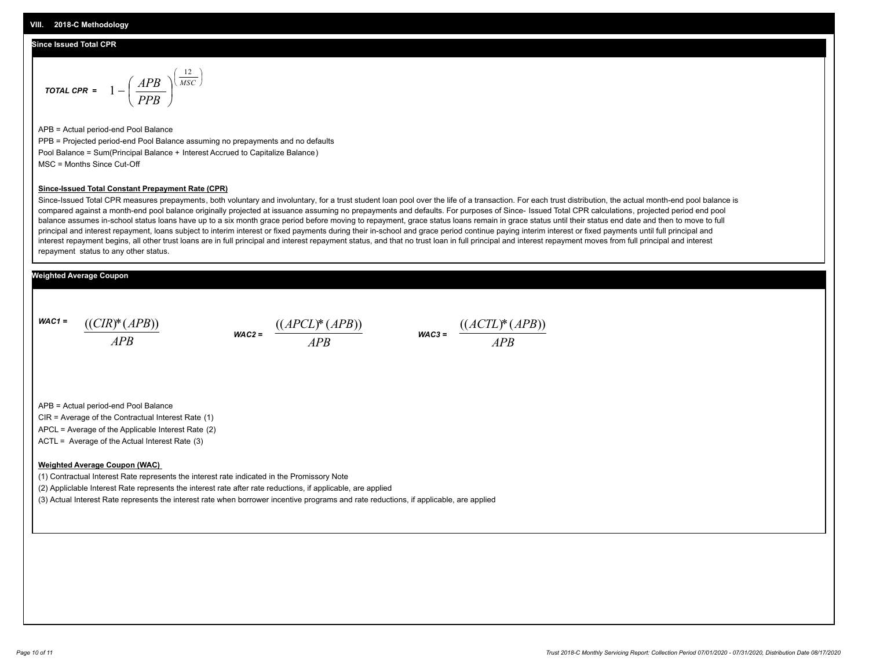#### **Since Issued Total CPR**

$$
\text{total CPR} = 1 - \left(\frac{APB}{PPB}\right)^{\left(\frac{12}{MSC}\right)}
$$

APB = Actual period-end Pool Balance PPB = Projected period-end Pool Balance assuming no prepayments and no defaults Pool Balance = Sum(Principal Balance + Interest Accrued to Capitalize Balance) MSC = Months Since Cut-Off

#### **Since-Issued Total Constant Prepayment Rate (CPR)**

Since-Issued Total CPR measures prepayments, both voluntary and involuntary, for a trust student loan pool over the life of a transaction. For each trust distribution, the actual month-end pool balance is compared against a month-end pool balance originally projected at issuance assuming no prepayments and defaults. For purposes of Since- Issued Total CPR calculations, projected period end pool balance assumes in-school status loans have up to a six month grace period before moving to repayment, grace status loans remain in grace status until their status end date and then to move to full principal and interest repayment, loans subject to interim interest or fixed payments during their in-school and grace period continue paying interim interest or fixed payments until full principal and interest repayment begins, all other trust loans are in full principal and interest repayment status, and that no trust loan in full principal and interest repayment moves from full principal and interest repayment status to any other status.

#### **Weighted Average Coupon**

*WAC1 = APB* ((*CIR*)\*(*APB*))

*WAC2 = APB*  $\frac{((APCL)^{*}(APB))}{APB}$  wac<sub>3</sub> =  $\frac{((ACTL)^{*}(A)P}{APB}$ 



APB = Actual period-end Pool Balance

CIR = Average of the Contractual Interest Rate (1)

APCL = Average of the Applicable Interest Rate (2)

ACTL = Average of the Actual Interest Rate (3)

#### **Weighted Average Coupon (WAC)**

(1) Contractual Interest Rate represents the interest rate indicated in the Promissory Note

(2) Appliclable Interest Rate represents the interest rate after rate reductions, if applicable, are applied

(3) Actual Interest Rate represents the interest rate when borrower incentive programs and rate reductions, if applicable, are applied